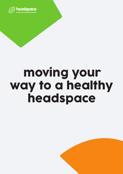

# moving your way to a healthy headspace